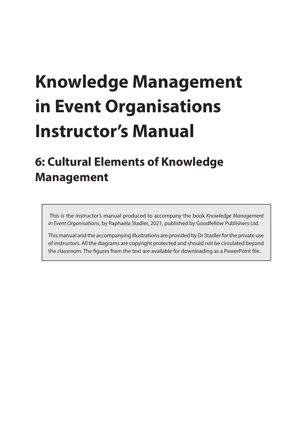# **Knowledge Management in Event Organisations Instructor's Manual**

## **6: Cultural Elements of Knowledge Management**

 This is the instructor's manual produced to accompany the book *Knowledge Management in Event Organisations*, by Raphaela Stadler, 2021, published by Goodfellow Publishers Ltd.

This manual and the accompanying illustrations are provided by Dr Stadler for the private use of instructors. All the diagrams are copyright protected and should not be circulated beyond the classroom. The figures from the text are available for downloading as a PowerPoint file.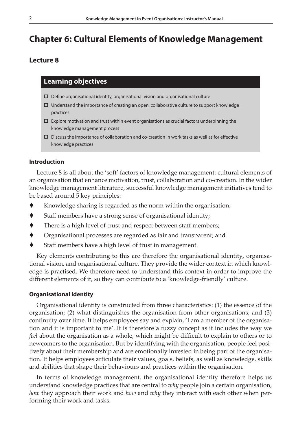### **Chapter 6: Cultural Elements of Knowledge Management**

#### **Lecture 8**

#### **Learning objectives**

- $\Box$  Define organisational identity, organisational vision and organisational culture
- $\Box$  Understand the importance of creating an open, collaborative culture to support knowledge practices
- $\Box$  Explore motivation and trust within event organisations as crucial factors underpinning the knowledge management process
- $\Box$  Discuss the importance of collaboration and co-creation in work tasks as well as for effective knowledge practices

#### **Introduction**

Lecture 8 is all about the 'soft' factors of knowledge management: cultural elements of an organisation that enhance motivation, trust, collaboration and co-creation. In the wider knowledge management literature, successful knowledge management initiatives tend to be based around 5 key principles:

- $\blacklozenge$  Knowledge sharing is regarded as the norm within the organisation;
- Staff members have a strong sense of organisational identity;
- There is a high level of trust and respect between staff members;
- Organisational processes are regarded as fair and transparent; and
- Staff members have a high level of trust in management.

Key elements contributing to this are therefore the organisational identity, organisational vision, and organisational culture. They provide the wider context in which knowledge is practised. We therefore need to understand this context in order to improve the different elements of it, so they can contribute to a 'knowledge-friendly' culture.

#### **Organisational identity**

Organisational identity is constructed from three characteristics: (1) the essence of the organisation; (2) what distinguishes the organisation from other organisations; and (3) continuity over time. It helps employees say and explain, 'I am a member of the organisation and it is important to me'. It is therefore a fuzzy concept as it includes the way we *feel* about the organisation as a whole, which might be difficult to explain to others or to newcomers to the organisation. But by identifying with the organisation, people feel positively about their membership and are emotionally invested in being part of the organisation. It helps employees articulate their values, goals, beliefs, as well as knowledge, skills and abilities that shape their behaviours and practices within the organisation.

In terms of knowledge management, the organisational identity therefore helps us understand knowledge practices that are central to *why* people join a certain organisation, *how* they approach their work and *how* and *why* they interact with each other when performing their work and tasks.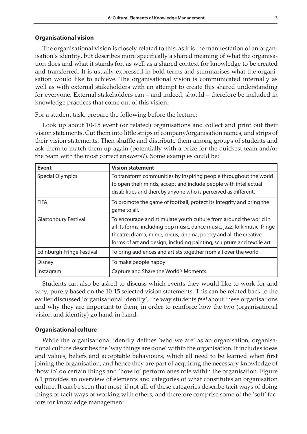#### **Organisational vision**

The organisational vision is closely related to this, as it is the manifestation of an organisation's identity, but describes more specifically a shared meaning of what the organisation does and what it stands for, as well as a shared context for knowledge to be created and transferred. It is usually expressed in bold terms and summarises what the organisation would like to achieve. The organisational vision is communicated internally as well as with external stakeholders with an attempt to create this shared understanding for everyone. External stakeholders can – and indeed, should – therefore be included in knowledge practices that come out of this vision.

For a student task, prepare the following before the lecture:

Look up about 10-15 event (or related) organisations and collect and print out their vision statements. Cut them into little strips of company/organisation names, and strips of their vision statements. Then shuffle and distribute them among groups of students and ask them to match them up again (potentially with a prize for the quickest team and/or the team with the most correct answers?). Some examples could be:

| <b>Event</b>                | <b>Vision statement</b>                                                                                                                                                                                                                                                                        |
|-----------------------------|------------------------------------------------------------------------------------------------------------------------------------------------------------------------------------------------------------------------------------------------------------------------------------------------|
| <b>Special Olympics</b>     | To transform communities by inspiring people throughout the world<br>to open their minds, accept and include people with intellectual<br>disabilities and thereby anyone who is perceived as different.                                                                                        |
| <b>FIFA</b>                 | To promote the game of football, protect its integrity and bring the<br>game to all.                                                                                                                                                                                                           |
| <b>Glastonbury Festival</b> | To encourage and stimulate youth culture from around the world in<br>all its forms, including pop music, dance music, jazz, folk music, fringe<br>theatre, drama, mime, circus, cinema, poetry and all the creative<br>forms of art and design, including painting, sculpture and textile art. |
| Edinburgh Fringe Festival   | To bring audiences and artists together from all over the world                                                                                                                                                                                                                                |
| <b>Disney</b>               | To make people happy                                                                                                                                                                                                                                                                           |
| Instagram                   | Capture and Share the World's Moments.                                                                                                                                                                                                                                                         |

Students can also be asked to discuss which events they would like to work for and why, purely based on the 10-15 selected vision statements. This can be related back to the earlier discussed 'organisational identity', the way students *feel* about these organisations and why they are important to them, in order to reinforce how the two (organisational vision and identity) go hand-in-hand.

#### **Organisational culture**

While the organisational identity defines 'who we are' as an organisation, organisational culture describes the 'way things are done' within the organisation. It includes ideas and values, beliefs and acceptable behaviours, which all need to be learned when first joining the organisation, and hence they are part of acquiring the necessary knowledge of 'how to' do certain things and 'how to' perform ones role within the organisation. Figure 6.1 provides an overview of elements and categories of what constitutes an organisation culture. It can be seen that most, if not all, of these categories describe tacit ways of doing things or tacit ways of working with others, and therefore comprise some of the 'soft' factors for knowledge management: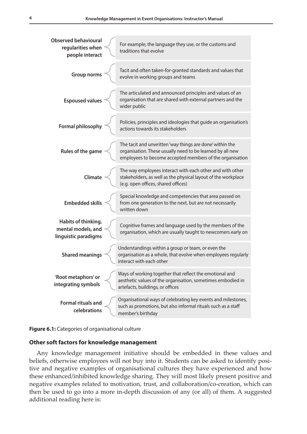| <b>Observed behavioural</b><br>regularities when<br>people interact | For example, the language they use, or the customs and<br>traditions that evolve                                                                                                  |
|---------------------------------------------------------------------|-----------------------------------------------------------------------------------------------------------------------------------------------------------------------------------|
| <b>Group norms</b>                                                  | Tacit and often taken-for-granted standards and values that<br>evolve in working groups and teams                                                                                 |
| <b>Espoused values</b>                                              | The articulated and announced principles and values of an<br>organisation that are shared with external partners and the<br>wider public                                          |
| <b>Formal philosophy</b>                                            | Policies, principles and ideologies that guide an organisation's<br>actions towards its stakeholders                                                                              |
| Rules of the game                                                   | The tacit and unwritten 'way things are done' within the<br>organisation. These usually need to be learned by all new<br>employees to become accepted members of the organisation |
| Climate                                                             | The way employees interact with each other and with other<br>stakeholders, as well as the physical layout of the workplace<br>(e.g. open offices, shared offices)                 |
| <b>Embedded skills</b>                                              | Special knowledge and competencies that area passed on<br>from one generation to the next, but are not necessarily<br>written down                                                |
| Habits of thinking,<br>mental models, and<br>linguistic paradigms   | Cognitive frames and language used by the members of the<br>organisation, which are usually taught to newcomers early on                                                          |
| <b>Shared meanings</b>                                              | Understandings within a group or team, or even the<br>organisation as a whole, that evolve when employees regularly<br>interact with each other                                   |
| 'Root metaphors' or<br>integrating symbols                          | Ways of working together that reflect the emotional and<br>aesthetic values of the organisation, sometimes embodied in<br>artefacts, buildings, or offices                        |
| <b>Formal rituals and</b><br>celebrations                           | Organisational ways of celebrating key events and milestones,<br>such as promotions, but also informal rituals such as a staff<br>member's birthday                               |

#### **Figure 6.1:** Categories of organisational culture

#### **Other soft factors for knowledge management**

Any knowledge management initiative should be embedded in these values and beliefs, otherwise employees will not buy into it. Students can be asked to identify positive and negative examples of organisational cultures they have experienced and how these enhanced/inhibited knowledge sharing. They will most likely present positive and negative examples related to motivation, trust, and collaboration/co-creation, which can then be used to go into a more in-depth discussion of any (or all) of them. A suggested additional reading here is: